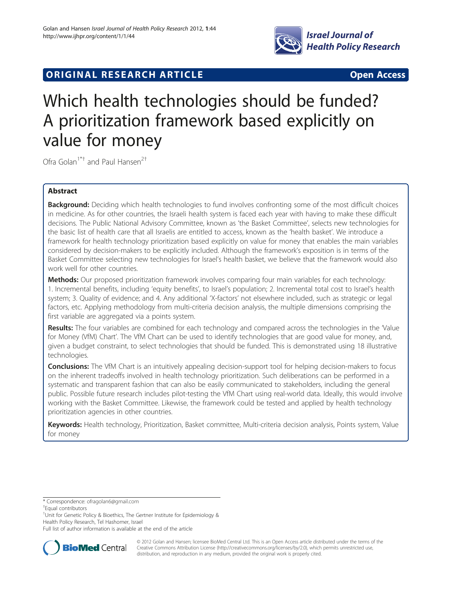

# **ORIGINAL RESEARCH ARTICLE CONSUMING ACCESS**

# Which health technologies should be funded? A prioritization framework based explicitly on value for money

Ofra Golan<sup>1\*†</sup> and Paul Hansen<sup>2†</sup>

# Abstract

Background: Deciding which health technologies to fund involves confronting some of the most difficult choices in medicine. As for other countries, the Israeli health system is faced each year with having to make these difficult decisions. The Public National Advisory Committee, known as 'the Basket Committee', selects new technologies for the basic list of health care that all Israelis are entitled to access, known as the 'health basket'. We introduce a framework for health technology prioritization based explicitly on value for money that enables the main variables considered by decision-makers to be explicitly included. Although the framework's exposition is in terms of the Basket Committee selecting new technologies for Israel's health basket, we believe that the framework would also work well for other countries.

Methods: Our proposed prioritization framework involves comparing four main variables for each technology: 1. Incremental benefits, including 'equity benefits', to Israel's population; 2. Incremental total cost to Israel's health system; 3. Quality of evidence; and 4. Any additional 'X-factors' not elsewhere included, such as strategic or legal factors, etc. Applying methodology from multi-criteria decision analysis, the multiple dimensions comprising the first variable are aggregated via a points system.

Results: The four variables are combined for each technology and compared across the technologies in the 'Value for Money (VfM) Chart'. The VfM Chart can be used to identify technologies that are good value for money, and, given a budget constraint, to select technologies that should be funded. This is demonstrated using 18 illustrative technologies.

Conclusions: The VfM Chart is an intuitively appealing decision-support tool for helping decision-makers to focus on the inherent tradeoffs involved in health technology prioritization. Such deliberations can be performed in a systematic and transparent fashion that can also be easily communicated to stakeholders, including the general public. Possible future research includes pilot-testing the VfM Chart using real-world data. Ideally, this would involve working with the Basket Committee. Likewise, the framework could be tested and applied by health technology prioritization agencies in other countries.

Keywords: Health technology, Prioritization, Basket committee, Multi-criteria decision analysis, Points system, Value for money

\* Correspondence: [ofragolan6@gmail.com](mailto:ofragolan6@gmail.com) †

<sup>1</sup>Unit for Genetic Policy & Bioethics, The Gertner Institute for Epidemiology & Health Policy Research, Tel Hashomer, Israel

Full list of author information is available at the end of the article



© 2012 Golan and Hansen; licensee BioMed Central Ltd. This is an Open Access article distributed under the terms of the Creative Commons Attribution License (<http://creativecommons.org/licenses/by/2.0>), which permits unrestricted use, distribution, and reproduction in any medium, provided the original work is properly cited.

Equal contributors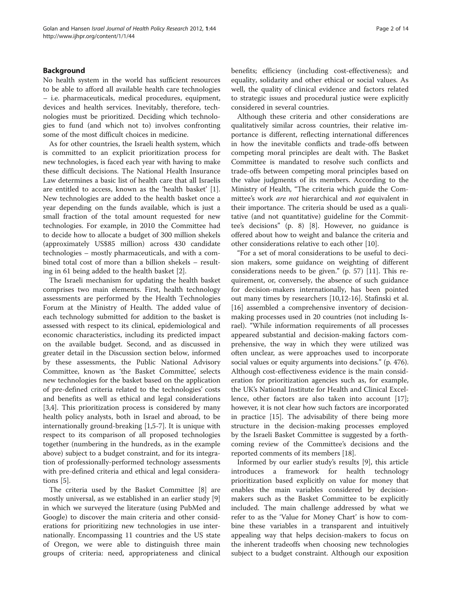## Background

No health system in the world has sufficient resources to be able to afford all available health care technologies – i.e. pharmaceuticals, medical procedures, equipment, devices and health services. Inevitably, therefore, technologies must be prioritized. Deciding which technologies to fund (and which not to) involves confronting some of the most difficult choices in medicine.

As for other countries, the Israeli health system, which is committed to an explicit prioritization process for new technologies, is faced each year with having to make these difficult decisions. The National Health Insurance Law determines a basic list of health care that all Israelis are entitled to access, known as the 'health basket' [\[1](#page-12-0)]. New technologies are added to the health basket once a year depending on the funds available, which is just a small fraction of the total amount requested for new technologies. For example, in 2010 the Committee had to decide how to allocate a budget of 300 million shekels (approximately US\$85 million) across 430 candidate technologies – mostly pharmaceuticals, and with a combined total cost of more than a billion shekels – resulting in 61 being added to the health basket [[2\]](#page-12-0).

The Israeli mechanism for updating the health basket comprises two main elements. First, health technology assessments are performed by the Health Technologies Forum at the Ministry of Health. The added value of each technology submitted for addition to the basket is assessed with respect to its clinical, epidemiological and economic characteristics, including its predicted impact on the available budget. Second, and as discussed in greater detail in the Discussion section below, informed by these assessments, the Public National Advisory Committee, known as 'the Basket Committee', selects new technologies for the basket based on the application of pre-defined criteria related to the technologies' costs and benefits as well as ethical and legal considerations [[3,4\]](#page-12-0). This prioritization process is considered by many health policy analysts, both in Israel and abroad, to be internationally ground-breaking [\[1](#page-12-0),[5-7\]](#page-12-0). It is unique with respect to its comparison of all proposed technologies together (numbering in the hundreds, as in the example above) subject to a budget constraint, and for its integration of professionally-performed technology assessments with pre-defined criteria and ethical and legal considerations [[5\]](#page-12-0).

The criteria used by the Basket Committee [[8](#page-12-0)] are mostly universal, as we established in an earlier study [\[9](#page-12-0)] in which we surveyed the literature (using PubMed and Google) to discover the main criteria and other considerations for prioritizing new technologies in use internationally. Encompassing 11 countries and the US state of Oregon, we were able to distinguish three main groups of criteria: need, appropriateness and clinical benefits; efficiency (including cost-effectiveness); and equality, solidarity and other ethical or social values. As well, the quality of clinical evidence and factors related to strategic issues and procedural justice were explicitly considered in several countries.

Although these criteria and other considerations are qualitatively similar across countries, their relative importance is different, reflecting international differences in how the inevitable conflicts and trade-offs between competing moral principles are dealt with. The Basket Committee is mandated to resolve such conflicts and trade-offs between competing moral principles based on the value judgments of its members. According to the Ministry of Health, "The criteria which guide the Committee's work *are not* hierarchical and *not* equivalent in their importance. The criteria should be used as a qualitative (and not quantitative) guideline for the Committee's decisions" (p. 8) [[8\]](#page-12-0). However, no guidance is offered about how to weight and balance the criteria and other considerations relative to each other [\[10](#page-12-0)].

"For a set of moral considerations to be useful to decision makers, some guidance on weighting of different considerations needs to be given." (p. 57) [[11\]](#page-12-0). This requirement, or, conversely, the absence of such guidance for decision-makers internationally, has been pointed out many times by researchers [\[10,12](#page-12-0)-[16](#page-12-0)]. Stafinski et al. [[16\]](#page-12-0) assembled a comprehensive inventory of decisionmaking processes used in 20 countries (not including Israel). "While information requirements of all processes appeared substantial and decision-making factors comprehensive, the way in which they were utilized was often unclear, as were approaches used to incorporate social values or equity arguments into decisions." (p. 476). Although cost-effectiveness evidence is the main consideration for prioritization agencies such as, for example, the UK's National Institute for Health and Clinical Excellence, other factors are also taken into account [\[17](#page-12-0)]; however, it is not clear how such factors are incorporated in practice [\[15](#page-12-0)]. The advisability of there being more structure in the decision-making processes employed by the Israeli Basket Committee is suggested by a forthcoming review of the Committee's decisions and the reported comments of its members [\[18\]](#page-12-0).

Informed by our earlier study's results [[9](#page-12-0)], this article introduces a framework for health technology prioritization based explicitly on value for money that enables the main variables considered by decisionmakers such as the Basket Committee to be explicitly included. The main challenge addressed by what we refer to as the 'Value for Money Chart' is how to combine these variables in a transparent and intuitively appealing way that helps decision-makers to focus on the inherent tradeoffs when choosing new technologies subject to a budget constraint. Although our exposition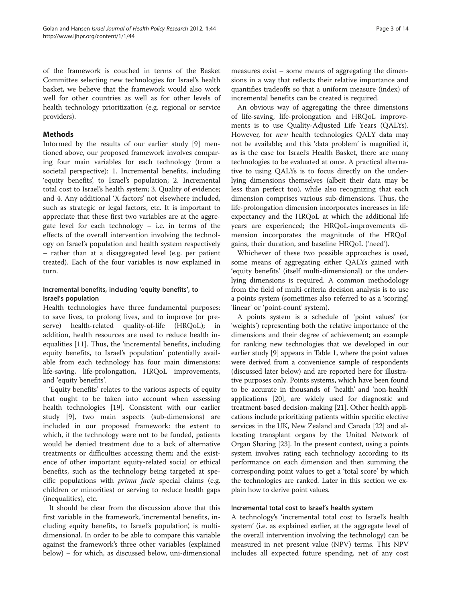of the framework is couched in terms of the Basket Committee selecting new technologies for Israel's health basket, we believe that the framework would also work well for other countries as well as for other levels of health technology prioritization (e.g. regional or service providers).

# Methods

Informed by the results of our earlier study [\[9\]](#page-12-0) mentioned above, our proposed framework involves comparing four main variables for each technology (from a societal perspective): 1. Incremental benefits, including 'equity benefits', to Israel's population; 2. Incremental total cost to Israel's health system; 3. Quality of evidence; and 4. Any additional 'X-factors' not elsewhere included, such as strategic or legal factors, etc. It is important to appreciate that these first two variables are at the aggregate level for each technology – i.e. in terms of the effects of the overall intervention involving the technology on Israel's population and health system respectively – rather than at a disaggregated level (e.g. per patient treated). Each of the four variables is now explained in turn.

# Incremental benefits, including 'equity benefits', to Israel's population

Health technologies have three fundamental purposes: to save lives, to prolong lives, and to improve (or preserve) health-related quality-of-life (HRQoL); in addition, health resources are used to reduce health inequalities [\[11](#page-12-0)]. Thus, the 'incremental benefits, including equity benefits, to Israel's population' potentially available from each technology has four main dimensions: life-saving, life-prolongation, HRQoL improvements, and 'equity benefits'.

'Equity benefits' relates to the various aspects of equity that ought to be taken into account when assessing health technologies [[19\]](#page-12-0). Consistent with our earlier study [\[9](#page-12-0)], two main aspects (sub-dimensions) are included in our proposed framework: the extent to which, if the technology were not to be funded, patients would be denied treatment due to a lack of alternative treatments or difficulties accessing them; and the existence of other important equity-related social or ethical benefits, such as the technology being targeted at specific populations with prima facie special claims (e.g. children or minorities) or serving to reduce health gaps (inequalities), etc.

It should be clear from the discussion above that this first variable in the framework, 'incremental benefits, including equity benefits, to Israel's population', is multidimensional. In order to be able to compare this variable against the framework's three other variables (explained below) – for which, as discussed below, uni-dimensional

measures exist – some means of aggregating the dimensions in a way that reflects their relative importance and quantifies tradeoffs so that a uniform measure (index) of incremental benefits can be created is required.

An obvious way of aggregating the three dimensions of life-saving, life-prolongation and HRQoL improvements is to use Quality-Adjusted Life Years (QALYs). However, for new health technologies QALY data may not be available; and this 'data problem' is magnified if, as is the case for Israel's Health Basket, there are many technologies to be evaluated at once. A practical alternative to using QALYs is to focus directly on the underlying dimensions themselves (albeit their data may be less than perfect too), while also recognizing that each dimension comprises various sub-dimensions. Thus, the life-prolongation dimension incorporates increases in life expectancy and the HRQoL at which the additional life years are experienced; the HRQoL-improvements dimension incorporates the magnitude of the HRQoL gains, their duration, and baseline HRQoL ('need').

Whichever of these two possible approaches is used, some means of aggregating either QALYs gained with 'equity benefits' (itself multi-dimensional) or the underlying dimensions is required. A common methodology from the field of multi-criteria decision analysis is to use a points system (sometimes also referred to as a 'scoring', 'linear' or 'point-count' system).

A points system is a schedule of 'point values' (or 'weights') representing both the relative importance of the dimensions and their degree of achievement; an example for ranking new technologies that we developed in our earlier study [[9\]](#page-12-0) appears in Table [1](#page-3-0), where the point values were derived from a convenience sample of respondents (discussed later below) and are reported here for illustrative purposes only. Points systems, which have been found to be accurate in thousands of 'health' and 'non-health' applications [\[20\]](#page-12-0), are widely used for diagnostic and treatment-based decision-making [\[21\]](#page-12-0). Other health applications include prioritizing patients within specific elective services in the UK, New Zealand and Canada [[22](#page-12-0)] and allocating transplant organs by the United Network of Organ Sharing [[23](#page-12-0)]. In the present context, using a points system involves rating each technology according to its performance on each dimension and then summing the corresponding point values to get a 'total score' by which the technologies are ranked. Later in this section we explain how to derive point values.

# Incremental total cost to Israel's health system

A technology's 'incremental total cost to Israel's health system' (i.e. as explained earlier, at the aggregate level of the overall intervention involving the technology) can be measured in net present value (NPV) terms. This NPV includes all expected future spending, net of any cost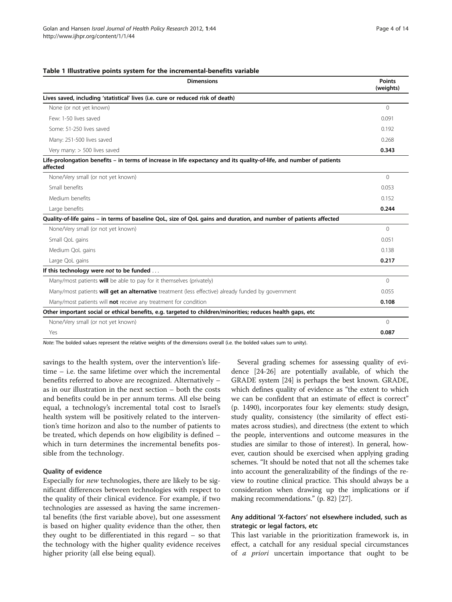#### <span id="page-3-0"></span>Table 1 Illustrative points system for the incremental-benefits variable

| <b>Dimensions</b>                                                                                                                | <b>Points</b><br>(weights) |
|----------------------------------------------------------------------------------------------------------------------------------|----------------------------|
| Lives saved, including 'statistical' lives (i.e. cure or reduced risk of death)                                                  |                            |
| None (or not yet known)                                                                                                          | $\Omega$                   |
| Few: 1-50 lives saved                                                                                                            | 0.091                      |
| Some: 51-250 lives saved                                                                                                         | 0.192                      |
| Many: 251-500 lives saved                                                                                                        | 0.268                      |
| Very many: > 500 lives saved                                                                                                     | 0.343                      |
| Life-prolongation benefits - in terms of increase in life expectancy and its quality-of-life, and number of patients<br>affected |                            |
| None/Very small (or not yet known)                                                                                               | $\Omega$                   |
| Small benefits                                                                                                                   | 0.053                      |
| Medium benefits                                                                                                                  | 0.152                      |
| Large benefits                                                                                                                   | 0.244                      |
| Quality-of-life gains - in terms of baseline QoL, size of QoL gains and duration, and number of patients affected                |                            |
| None/Very small (or not yet known)                                                                                               | $\Omega$                   |
| Small QoL gains                                                                                                                  | 0.051                      |
| Medium QoL gains                                                                                                                 | 0.138                      |
| Large QoL gains                                                                                                                  | 0.217                      |
| If this technology were not to be funded                                                                                         |                            |
| Many/most patients <b>will</b> be able to pay for it themselves (privately)                                                      | $\Omega$                   |
| Many/most patients will get an alternative treatment (less effective) already funded by government                               | 0.055                      |
| Many/most patients will not receive any treatment for condition                                                                  | 0.108                      |
| Other important social or ethical benefits, e.g. targeted to children/minorities; reduces health gaps, etc                       |                            |
| None/Very small (or not yet known)                                                                                               | $\Omega$                   |
| Yes                                                                                                                              | 0.087                      |

Note: The bolded values represent the relative weights of the dimensions overall (i.e. the bolded values sum to unity).

savings to the health system, over the intervention's lifetime – i.e. the same lifetime over which the incremental benefits referred to above are recognized. Alternatively – as in our illustration in the next section – both the costs and benefits could be in per annum terms. All else being equal, a technology's incremental total cost to Israel's health system will be positively related to the intervention's time horizon and also to the number of patients to be treated, which depends on how eligibility is defined – which in turn determines the incremental benefits possible from the technology.

## Quality of evidence

Especially for new technologies, there are likely to be significant differences between technologies with respect to the quality of their clinical evidence. For example, if two technologies are assessed as having the same incremental benefits (the first variable above), but one assessment is based on higher quality evidence than the other, then they ought to be differentiated in this regard – so that the technology with the higher quality evidence receives higher priority (all else being equal).

Several grading schemes for assessing quality of evidence [[24-26\]](#page-12-0) are potentially available, of which the GRADE system [[24](#page-12-0)] is perhaps the best known. GRADE, which defines quality of evidence as "the extent to which we can be confident that an estimate of effect is correct" (p. 1490), incorporates four key elements: study design, study quality, consistency (the similarity of effect estimates across studies), and directness (the extent to which the people, interventions and outcome measures in the studies are similar to those of interest). In general, however, caution should be exercised when applying grading schemes. "It should be noted that not all the schemes take into account the generalizability of the findings of the review to routine clinical practice. This should always be a consideration when drawing up the implications or if making recommendations." (p. 82) [[27](#page-12-0)].

# Any additional 'X-factors' not elsewhere included, such as strategic or legal factors, etc

This last variable in the prioritization framework is, in effect, a catchall for any residual special circumstances of *a priori* uncertain importance that ought to be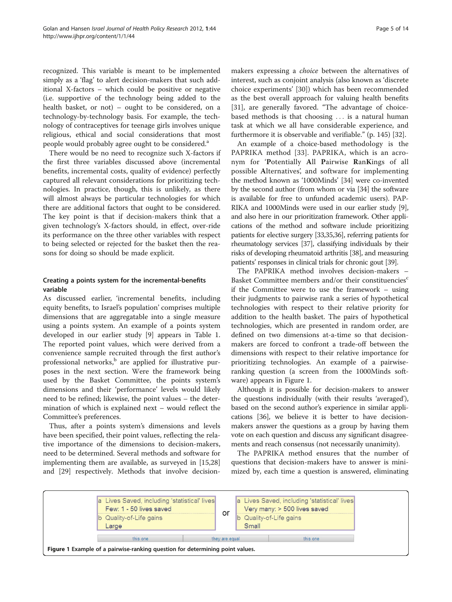recognized. This variable is meant to be implemented simply as a 'flag' to alert decision-makers that such additional X-factors – which could be positive or negative (i.e. supportive of the technology being added to the health basket, or not) – ought to be considered, on a technology-by-technology basis. For example, the technology of contraceptives for teenage girls involves unique religious, ethical and social considerations that most people would probably agree ought to be considered.<sup>a</sup>

There would be no need to recognize such X-factors if the first three variables discussed above (incremental benefits, incremental costs, quality of evidence) perfectly captured all relevant considerations for prioritizing technologies. In practice, though, this is unlikely, as there will almost always be particular technologies for which there are additional factors that ought to be considered. The key point is that if decision-makers think that a given technology's X-factors should, in effect, over-ride its performance on the three other variables with respect to being selected or rejected for the basket then the reasons for doing so should be made explicit.

# Creating a points system for the incremental-benefits variable

As discussed earlier, 'incremental benefits, including equity benefits, to Israel's population' comprises multiple dimensions that are aggregatable into a single measure using a points system. An example of a points system developed in our earlier study [[9\]](#page-12-0) appears in Table [1](#page-3-0). The reported point values, which were derived from a convenience sample recruited through the first author's professional networks,<sup>b</sup> are applied for illustrative purposes in the next section. Were the framework being used by the Basket Committee, the points system's dimensions and their 'performance' levels would likely need to be refined; likewise, the point values – the determination of which is explained next – would reflect the Committee's preferences.

Thus, after a points system's dimensions and levels have been specified, their point values, reflecting the relative importance of the dimensions to decision-makers, need to be determined. Several methods and software for implementing them are available, as surveyed in [[15](#page-12-0),[28](#page-12-0)] and [[29](#page-12-0)] respectively. Methods that involve decision-

makers expressing a choice between the alternatives of interest, such as conjoint analysis (also known as 'discrete choice experiments' [[30\]](#page-12-0)) which has been recommended as the best overall approach for valuing health benefits [[31\]](#page-12-0), are generally favored. "The advantage of choicebased methods is that choosing ... is a natural human task at which we all have considerable experience, and furthermore it is observable and verifiable." (p. 145) [\[32](#page-13-0)].

An example of a choice-based methodology is the PAPRIKA method [\[33\]](#page-13-0). PAPRIKA, which is an acronym for 'Potentially All Pairwise RanKings of all possible Alternatives', and software for implementing the method known as '1000Minds' [[34](#page-13-0)] were co-invented by the second author (from whom or via [\[34\]](#page-13-0) the software is available for free to unfunded academic users). PAP-RIKA and 1000Minds were used in our earlier study [[9](#page-12-0)], and also here in our prioritization framework. Other applications of the method and software include prioritizing patients for elective surgery [\[33,35,36](#page-13-0)], referring patients for rheumatology services [[37](#page-13-0)], classifying individuals by their risks of developing rheumatoid arthritis [\[38](#page-13-0)], and measuring patients' responses in clinical trials for chronic gout [[39](#page-13-0)].

The PAPRIKA method involves decision-makers – Basket Committee members and/or their constituencies<sup>c</sup> if the Committee were to use the framework – using their judgments to pairwise rank a series of hypothetical technologies with respect to their relative priority for addition to the health basket. The pairs of hypothetical technologies, which are presented in random order, are defined on two dimensions at-a-time so that decisionmakers are forced to confront a trade-off between the dimensions with respect to their relative importance for prioritizing technologies. An example of a pairwiseranking question (a screen from the 1000Minds software) appears in Figure 1.

Although it is possible for decision-makers to answer the questions individually (with their results 'averaged'), based on the second author's experience in similar applications [[36](#page-13-0)], we believe it is better to have decisionmakers answer the questions as a group by having them vote on each question and discuss any significant disagreements and reach consensus (not necessarily unanimity).

The PAPRIKA method ensures that the number of questions that decision-makers have to answer is minimized by, each time a question is answered, eliminating

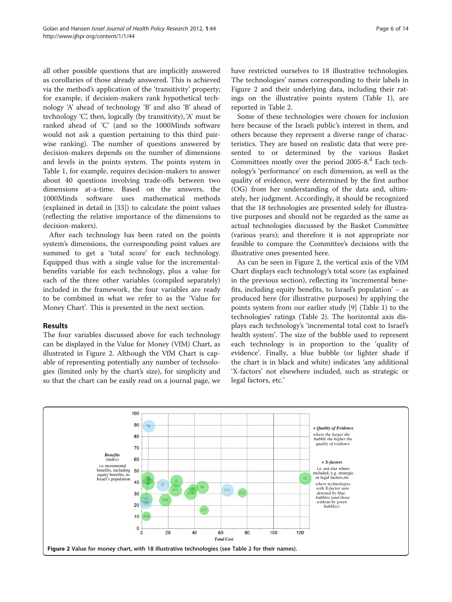<span id="page-5-0"></span>all other possible questions that are implicitly answered as corollaries of those already answered. This is achieved via the method's application of the 'transitivity' property; for example, if decision-makers rank hypothetical technology 'A' ahead of technology 'B' and also 'B' ahead of technology 'C', then, logically (by transitivity), 'A' must be ranked ahead of 'C' (and so the 1000Minds software would not ask a question pertaining to this third pairwise ranking). The number of questions answered by decision-makers depends on the number of dimensions and levels in the points system. The points system in Table [1,](#page-3-0) for example, requires decision-makers to answer about 40 questions involving trade-offs between two dimensions at-a-time. Based on the answers, the 1000Minds software uses mathematical methods (explained in detail in [[33\]](#page-13-0)) to calculate the point values (reflecting the relative importance of the dimensions to decision-makers).

After each technology has been rated on the points system's dimensions, the corresponding point values are summed to get a 'total score' for each technology. Equipped thus with a single value for the incrementalbenefits variable for each technology, plus a value for each of the three other variables (compiled separately) included in the framework, the four variables are ready to be combined in what we refer to as the 'Value for Money Chart'. This is presented in the next section.

# Results

The four variables discussed above for each technology can be displayed in the Value for Money (VfM) Chart, as illustrated in Figure 2. Although the VfM Chart is capable of representing potentially any number of technologies (limited only by the chart's size), for simplicity and so that the chart can be easily read on a journal page, we have restricted ourselves to 18 illustrative technologies. The technologies' names corresponding to their labels in Figure 2 and their underlying data, including their ratings on the illustrative points system (Table [1](#page-3-0)), are reported in Table [2](#page-6-0).

Some of these technologies were chosen for inclusion here because of the Israeli public's interest in them, and others because they represent a diverse range of characteristics. They are based on realistic data that were presented to or determined by the various Basket Committees mostly over the period  $2005-8$ .<sup>d</sup> Each technology's 'performance' on each dimension, as well as the quality of evidence, were determined by the first author (OG) from her understanding of the data and, ultimately, her judgment. Accordingly, it should be recognized that the 18 technologies are presented solely for illustrative purposes and should not be regarded as the same as actual technologies discussed by the Basket Committee (various years); and therefore it is not appropriate nor feasible to compare the Committee's decisions with the illustrative ones presented here.

As can be seen in Figure 2, the vertical axis of the VfM Chart displays each technology's total score (as explained in the previous section), reflecting its 'incremental benefits, including equity benefits, to Israel's population' – as produced here (for illustrative purposes) by applying the points system from our earlier study [[9](#page-12-0)] (Table [1\)](#page-3-0) to the technologies' ratings (Table [2](#page-6-0)). The horizontal axis displays each technology's 'incremental total cost to Israel's health system'. The size of the bubble used to represent each technology is in proportion to the 'quality of evidence'. Finally, a blue bubble (or lighter shade if the chart is in black and white) indicates 'any additional 'X-factors' not elsewhere included, such as strategic or legal factors, etc.'

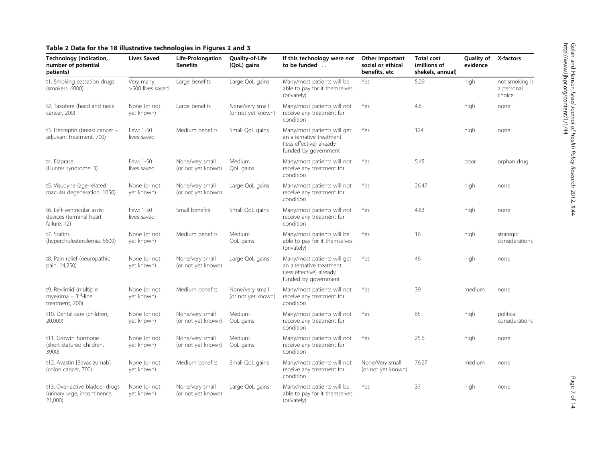| Technology (indication,<br>number of potential<br>patients)               | <b>Lives Saved</b>             | Life-Prolongation<br><b>Benefits</b>  | Quality-of-Life<br>(QoL) gains        | If this technology were not<br>to be funded                                                                 | Other important<br>social or ethical<br>benefits, etc | <b>Total cost</b><br>(millions of<br>shekels, annual) | Quality of<br>evidence | X-factors                              |
|---------------------------------------------------------------------------|--------------------------------|---------------------------------------|---------------------------------------|-------------------------------------------------------------------------------------------------------------|-------------------------------------------------------|-------------------------------------------------------|------------------------|----------------------------------------|
| t1. Smoking cessation drugs<br>(smokers, 6000)                            | Very many:<br>>500 lives saved | Large benefits                        | Large QoL gains                       | Many/most patients will be<br>able to pay for it themselves<br>(privately)                                  | Yes                                                   | 5.29                                                  | high                   | not smoking is<br>a personal<br>choice |
| t2. Taxotere (head and neck<br>cancer, 200)                               | None (or not<br>yet known)     | Large benefits                        | None/very small<br>(or not yet known) | Many/most patients will not<br>receive any treatment for<br>condition                                       | Yes                                                   | 4.6                                                   | high                   | none                                   |
| t3. Herceptin (breast cancer -<br>adjuvant treatment, 700)                | Few: 1-50<br>lives saved       | Medium benefits                       | Small QoL gains                       | Many/most patients will get<br>an alternative treatment<br>(less effective) already<br>funded by government | Yes                                                   | 124                                                   | high                   | none                                   |
| t4. Elaprase<br>(Hunter syndrome, 3)                                      | Few: 1-50<br>lives saved       | None/very small<br>(or not yet known) | Medium<br>QoL gains                   | Many/most patients will not<br>receive any treatment for<br>condition                                       | Yes                                                   | 5.45                                                  | poor                   | orphan drug                            |
| t5. Visudyne (age-related<br>macular degeneration, 1050)                  | None (or not<br>yet known)     | None/very small<br>(or not yet known) | Large QoL gains                       | Many/most patients will not<br>receive any treatment for<br>condition                                       | Yes                                                   | 26.47                                                 | high                   | none                                   |
| t6. Left-ventricular assist<br>devices (terminal heart<br>failure, 12)    | Few: 1-50<br>lives saved       | Small benefits                        | Small QoL gains                       | Many/most patients will not<br>receive any treatment for<br>condition                                       | Yes                                                   | 4.83                                                  | high                   | none                                   |
| t7. Statins<br>(hypercholesterolemia, 5600)                               | None (or not<br>yet known)     | Medium benefits                       | Medium<br>QoL gains                   | Many/most patients will be<br>able to pay for it themselves<br>(privately)                                  | Yes                                                   | 16                                                    | high                   | strategic<br>considerations            |
| t8. Pain relief (neuropathic<br>pain, 14,250)                             | None (or not<br>yet known)     | None/very small<br>(or not yet known) | Large QoL gains                       | Many/most patients will get<br>an alternative treatment<br>(less effective) already<br>funded by government | Yes                                                   | 46                                                    | high                   | none                                   |
| t9. Revlimid (multiple<br>myeloma $-3^{rd}$ -line<br>treatment, 200)      | None (or not<br>yet known)     | Medium benefits                       | None/very small<br>(or not yet known) | Many/most patients will not<br>receive any treatment for<br>condition                                       | Yes                                                   | 39                                                    | medium                 | none                                   |
| t10. Dental care (children,<br>20,000)                                    | None (or not<br>yet known)     | None/very small<br>(or not yet known) | Medium<br>QoL gains                   | Many/most patients will not<br>receive any treatment for<br>condition                                       | Yes                                                   | 65                                                    | high                   | political<br>considerations            |
| t11. Growth hormone<br>(short-statured children,<br>3900)                 | None (or not<br>yet known)     | None/very small<br>(or not yet known) | Medium<br>QoL gains                   | Many/most patients will not<br>receive any treatment for<br>condition                                       | Yes                                                   | 25.6                                                  | high                   | none                                   |
| t12. Avastin [Bevacizumab]<br>(colon cancer, 700)                         | None (or not<br>yet known)     | Medium benefits                       | Small QoL gains                       | Many/most patients will not<br>receive any treatment for<br>condition                                       | None/Very small<br>(or not yet known)                 | 76.27                                                 | medium                 | none                                   |
| t13. Over-active bladder drugs<br>(urinary urge, incontinence,<br>21,000) | None (or not<br>yet known)     | None/very small<br>(or not yet known) | Large QoL gains                       | Many/most patients will be<br>able to pay for it themselves<br>(privately)                                  | Yes                                                   | 37                                                    | high                   | none                                   |

# <span id="page-6-0"></span>Table 2 Data for the 18 illustrative technologies in Figures 2 and 3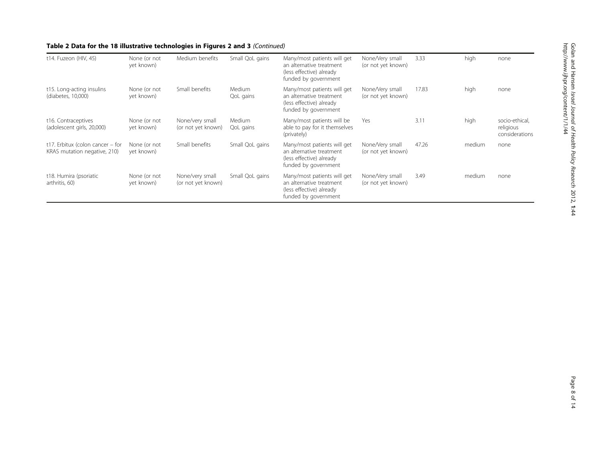| t14. Fuzeon (HIV, 45)                                            | None (or not<br>yet known) | Medium benefits                       | Small QoL gains            | Many/most patients will get<br>an alternative treatment<br>(less effective) already<br>funded by government | None/Very small<br>(or not yet known) | 3.33  | high   | none                                          |
|------------------------------------------------------------------|----------------------------|---------------------------------------|----------------------------|-------------------------------------------------------------------------------------------------------------|---------------------------------------|-------|--------|-----------------------------------------------|
| t15. Long-acting insulins<br>(diabetes, 10,000)                  | None (or not<br>yet known) | Small benefits                        | <b>Medium</b><br>QoL gains | Many/most patients will get<br>an alternative treatment<br>(less effective) already<br>funded by government | None/Very small<br>(or not yet known) | 17.83 | high   | none                                          |
| t16. Contraceptives<br>(adolescent girls, 20,000)                | None (or not<br>yet known) | None/very small<br>(or not yet known) | <b>Medium</b><br>QoL gains | Many/most patients will be<br>able to pay for it themselves<br>(privately)                                  | Yes                                   | 3.11  | high   | socio-ethical.<br>religious<br>considerations |
| t17. Erbitux (colon cancer – for<br>KRAS mutation negative, 210) | None (or not<br>yet known) | Small benefits                        | Small QoL gains            | Many/most patients will get<br>an alternative treatment<br>(less effective) already<br>funded by government | None/Very small<br>(or not yet known) | 47.26 | medium | none                                          |
| t18. Humira (psoriatic<br>arthritis, 60)                         | None (or not<br>yet known) | None/very small<br>(or not yet known) | Small QoL gains            | Many/most patients will get<br>an alternative treatment<br>(less effective) already<br>funded by government | None/Very small<br>(or not yet known) | 3.49  | medium | none                                          |

# Table 2 Data for the 18 illustrative technologies in Figures 2 and 3 (Continued)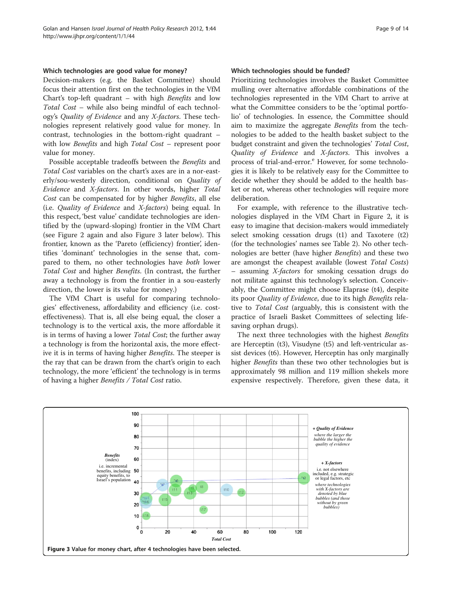#### <span id="page-8-0"></span>Which technologies are good value for money?

Decision-makers (e.g. the Basket Committee) should focus their attention first on the technologies in the VfM Chart's top-left quadrant – with high Benefits and low Total Cost – while also being mindful of each technology's Quality of Evidence and any X-factors. These technologies represent relatively good value for money. In contrast, technologies in the bottom-right quadrant – with low *Benefits* and high *Total Cost* – represent poor value for money.

Possible acceptable tradeoffs between the Benefits and Total Cost variables on the chart's axes are in a nor-easterly/sou-westerly direction, conditional on Quality of Evidence and X-factors. In other words, higher Total Cost can be compensated for by higher Benefits, all else (i.e. Quality of Evidence and X-factors) being equal. In this respect, 'best value' candidate technologies are identified by the (upward-sloping) frontier in the VfM Chart (see Figure [2](#page-5-0) again and also Figure 3 later below). This frontier, known as the 'Pareto (efficiency) frontier', identifies 'dominant' technologies in the sense that, compared to them, no other technologies have both lower Total Cost and higher Benefits. (In contrast, the further away a technology is from the frontier in a sou-easterly direction, the lower is its value for money.)

The VfM Chart is useful for comparing technologies' effectiveness, affordability and efficiency (i.e. costeffectiveness). That is, all else being equal, the closer a technology is to the vertical axis, the more affordable it is in terms of having a lower Total Cost; the further away a technology is from the horizontal axis, the more effective it is in terms of having higher Benefits. The steeper is the ray that can be drawn from the chart's origin to each technology, the more 'efficient' the technology is in terms of having a higher Benefits / Total Cost ratio.

#### Which technologies should be funded?

Prioritizing technologies involves the Basket Committee mulling over alternative affordable combinations of the technologies represented in the VfM Chart to arrive at what the Committee considers to be the 'optimal portfolio' of technologies. In essence, the Committee should aim to maximize the aggregate Benefits from the technologies to be added to the health basket subject to the budget constraint and given the technologies' Total Cost, Quality of Evidence and X-factors. This involves a process of trial-and-error.<sup>e</sup> However, for some technologies it is likely to be relatively easy for the Committee to decide whether they should be added to the health basket or not, whereas other technologies will require more deliberation.

For example, with reference to the illustrative technologies displayed in the VfM Chart in Figure [2,](#page-5-0) it is easy to imagine that decision-makers would immediately select smoking cessation drugs (t1) and Taxotere (t2) (for the technologies' names see Table [2\)](#page-6-0). No other technologies are better (have higher Benefits) and these two are amongst the cheapest available (lowest Total Costs) – assuming X-factors for smoking cessation drugs do not militate against this technology's selection. Conceivably, the Committee might choose Elaprase (t4), despite its poor Quality of Evidence, due to its high Benefits relative to Total Cost (arguably, this is consistent with the practice of Israeli Basket Committees of selecting lifesaving orphan drugs).

The next three technologies with the highest Benefits are Herceptin (t3), Visudyne (t5) and left-ventricular assist devices (t6). However, Herceptin has only marginally higher Benefits than these two other technologies but is approximately 98 million and 119 million shekels more expensive respectively. Therefore, given these data, it

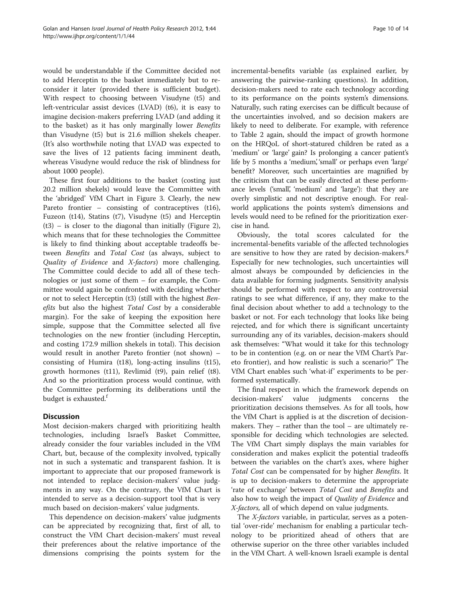would be understandable if the Committee decided not to add Herceptin to the basket immediately but to reconsider it later (provided there is sufficient budget). With respect to choosing between Visudyne (t5) and left-ventricular assist devices (LVAD) (t6), it is easy to imagine decision-makers preferring LVAD (and adding it to the basket) as it has only marginally lower Benefits than Visudyne (t5) but is 21.6 million shekels cheaper. (It's also worthwhile noting that LVAD was expected to save the lives of 12 patients facing imminent death, whereas Visudyne would reduce the risk of blindness for about 1000 people).

These first four additions to the basket (costing just 20.2 million shekels) would leave the Committee with the 'abridged' VfM Chart in Figure [3](#page-8-0). Clearly, the new Pareto frontier – consisting of contraceptives (t16), Fuzeon (t14), Statins (t7), Visudyne (t5) and Herceptin (t3) – is closer to the diagonal than initially (Figure [2](#page-5-0)), which means that for these technologies the Committee is likely to find thinking about acceptable tradeoffs between Benefits and Total Cost (as always, subject to Quality of Evidence and X-factors) more challenging. The Committee could decide to add all of these technologies or just some of them – for example, the Committee would again be confronted with deciding whether or not to select Herceptin (t3) (still with the highest Benefits but also the highest Total Cost by a considerable margin). For the sake of keeping the exposition here simple, suppose that the Committee selected all five technologies on the new frontier (including Herceptin, and costing 172.9 million shekels in total). This decision would result in another Pareto frontier (not shown) – consisting of Humira (t18), long-acting insulins (t15), growth hormones (t11), Revlimid (t9), pain relief (t8). And so the prioritization process would continue, with the Committee performing its deliberations until the budget is exhausted.<sup>f</sup>

## **Discussion**

Most decision-makers charged with prioritizing health technologies, including Israel's Basket Committee, already consider the four variables included in the VfM Chart, but, because of the complexity involved, typically not in such a systematic and transparent fashion. It is important to appreciate that our proposed framework is not intended to replace decision-makers' value judgments in any way. On the contrary, the VfM Chart is intended to serve as a decision-support tool that is very much based on decision-makers' value judgments.

This dependence on decision-makers' value judgments can be appreciated by recognizing that, first of all, to construct the VfM Chart decision-makers' must reveal their preferences about the relative importance of the dimensions comprising the points system for the incremental-benefits variable (as explained earlier, by answering the pairwise-ranking questions). In addition, decision-makers need to rate each technology according to its performance on the points system's dimensions. Naturally, such rating exercises can be difficult because of the uncertainties involved, and so decision makers are likely to need to deliberate. For example, with reference to Table [2](#page-6-0) again, should the impact of growth hormone on the HRQoL of short-statured children be rated as a 'medium' or 'large' gain? Is prolonging a cancer patient's life by 5 months a 'medium', 'small' or perhaps even 'large' benefit? Moreover, such uncertainties are magnified by the criticism that can be easily directed at these performance levels ('small', 'medium' and 'large'): that they are overly simplistic and not descriptive enough. For realworld applications the points system's dimensions and levels would need to be refined for the prioritization exercise in hand.

Obviously, the total scores calculated for the incremental-benefits variable of the affected technologies are sensitive to how they are rated by decision-makers.<sup>g</sup> Especially for new technologies, such uncertainties will almost always be compounded by deficiencies in the data available for forming judgments. Sensitivity analysis should be performed with respect to any controversial ratings to see what difference, if any, they make to the final decision about whether to add a technology to the basket or not. For each technology that looks like being rejected, and for which there is significant uncertainty surrounding any of its variables, decision-makers should ask themselves: "What would it take for this technology to be in contention (e.g. on or near the VfM Chart's Pareto frontier), and how realistic is such a scenario?" The VfM Chart enables such 'what-if' experiments to be performed systematically.

The final respect in which the framework depends on decision-makers' value judgments concerns the prioritization decisions themselves. As for all tools, how the VfM Chart is applied is at the discretion of decisionmakers. They – rather than the tool – are ultimately responsible for deciding which technologies are selected. The VfM Chart simply displays the main variables for consideration and makes explicit the potential tradeoffs between the variables on the chart's axes, where higher Total Cost can be compensated for by higher Benefits. It is up to decision-makers to determine the appropriate 'rate of exchange' between Total Cost and Benefits and also how to weigh the impact of Quality of Evidence and X-factors, all of which depend on value judgments.

The *X-factors* variable, in particular, serves as a potential 'over-ride' mechanism for enabling a particular technology to be prioritized ahead of others that are otherwise superior on the three other variables included in the VfM Chart. A well-known Israeli example is dental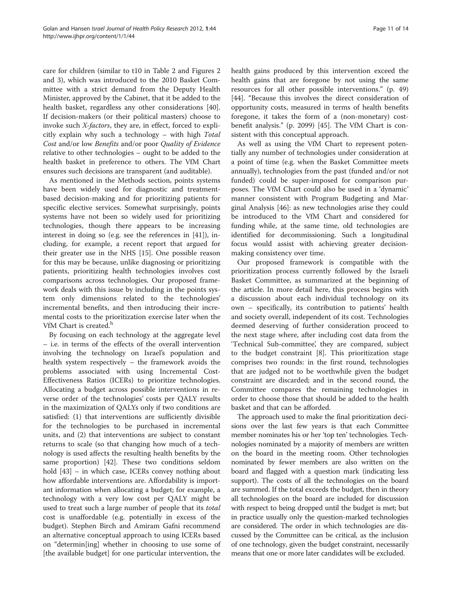care for children (similar to t10 in Table [2](#page-6-0) and Figures [2](#page-5-0) and [3](#page-8-0)), which was introduced to the 2010 Basket Committee with a strict demand from the Deputy Health Minister, approved by the Cabinet, that it be added to the health basket, regardless any other considerations [\[40](#page-13-0)]. If decision-makers (or their political masters) choose to invoke such X-factors, they are, in effect, forced to explicitly explain why such a technology – with high Total Cost and/or low Benefits and/or poor Quality of Evidence relative to other technologies – ought to be added to the health basket in preference to others. The VfM Chart ensures such decisions are transparent (and auditable).

As mentioned in the Methods section, points systems have been widely used for diagnostic and treatmentbased decision-making and for prioritizing patients for specific elective services. Somewhat surprisingly, points systems have not been so widely used for prioritizing technologies, though there appears to be increasing interest in doing so (e.g. see the references in [[41\]](#page-13-0)), including, for example, a recent report that argued for their greater use in the NHS [\[15](#page-12-0)]. One possible reason for this may be because, unlike diagnosing or prioritizing patients, prioritizing health technologies involves cost comparisons across technologies. Our proposed framework deals with this issue by including in the points system only dimensions related to the technologies' incremental benefits, and then introducing their incremental costs to the prioritization exercise later when the VfM Chart is created.h

By focusing on each technology at the aggregate level – i.e. in terms of the effects of the overall intervention involving the technology on Israel's population and health system respectively – the framework avoids the problems associated with using Incremental Cost-Effectiveness Ratios (ICERs) to prioritize technologies. Allocating a budget across possible interventions in reverse order of the technologies' costs per QALY results in the maximization of QALYs only if two conditions are satisfied: (1) that interventions are sufficiently divisible for the technologies to be purchased in incremental units, and (2) that interventions are subject to constant returns to scale (so that changing how much of a technology is used affects the resulting health benefits by the same proportion) [\[42\]](#page-13-0). These two conditions seldom hold [[43\]](#page-13-0) – in which case, ICERs convey nothing about how affordable interventions are. Affordability is important information when allocating a budget; for example, a technology with a very low cost per QALY might be used to treat such a large number of people that its total cost is unaffordable (e.g. potentially in excess of the budget). Stephen Birch and Amiram Gafni recommend an alternative conceptual approach to using ICERs based on "determin[ing] whether in choosing to use some of [the available budget] for one particular intervention, the health gains produced by this intervention exceed the health gains that are foregone by not using the same resources for all other possible interventions." (p. 49) [[44\]](#page-13-0). "Because this involves the direct consideration of opportunity costs, measured in terms of health benefits foregone, it takes the form of a (non-monetary) costbenefit analysis." (p. 2099) [[45\]](#page-13-0). The VfM Chart is consistent with this conceptual approach.

As well as using the VfM Chart to represent potentially any number of technologies under consideration at a point of time (e.g. when the Basket Committee meets annually), technologies from the past (funded and/or not funded) could be super-imposed for comparison purposes. The VfM Chart could also be used in a 'dynamic' manner consistent with Program Budgeting and Marginal Analysis [\[46](#page-13-0)]: as new technologies arise they could be introduced to the VfM Chart and considered for funding while, at the same time, old technologies are identified for decommissioning. Such a longitudinal focus would assist with achieving greater decisionmaking consistency over time.

Our proposed framework is compatible with the prioritization process currently followed by the Israeli Basket Committee, as summarized at the beginning of the article. In more detail here, this process begins with a discussion about each individual technology on its own – specifically, its contribution to patients' health and society overall, independent of its cost. Technologies deemed deserving of further consideration proceed to the next stage where, after including cost data from the 'Technical Sub-committee', they are compared, subject to the budget constraint [[8\]](#page-12-0). This prioritization stage comprises two rounds: in the first round, technologies that are judged not to be worthwhile given the budget constraint are discarded; and in the second round, the Committee compares the remaining technologies in order to choose those that should be added to the health basket and that can be afforded.

The approach used to make the final prioritization decisions over the last few years is that each Committee member nominates his or her 'top ten' technologies. Technologies nominated by a majority of members are written on the board in the meeting room. Other technologies nominated by fewer members are also written on the board and flagged with a question mark (indicating less support). The costs of all the technologies on the board are summed. If the total exceeds the budget, then in theory all technologies on the board are included for discussion with respect to being dropped until the budget is met; but in practice usually only the question-marked technologies are considered. The order in which technologies are discussed by the Committee can be critical, as the inclusion of one technology, given the budget constraint, necessarily means that one or more later candidates will be excluded.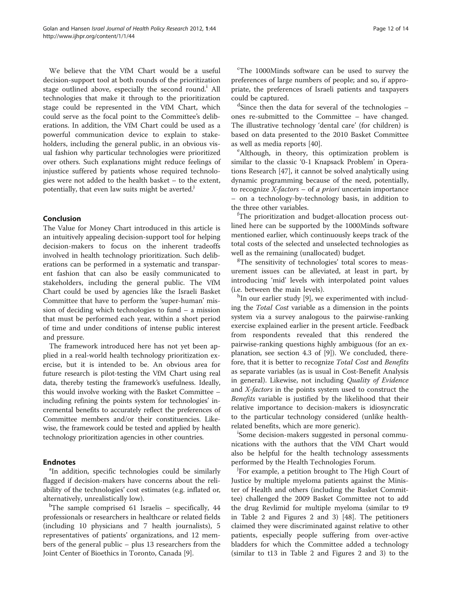We believe that the VfM Chart would be a useful decision-support tool at both rounds of the prioritization stage outlined above, especially the second round.<sup>i</sup> All technologies that make it through to the prioritization stage could be represented in the VfM Chart, which could serve as the focal point to the Committee's deliberations. In addition, the VfM Chart could be used as a powerful communication device to explain to stakeholders, including the general public, in an obvious visual fashion why particular technologies were prioritized over others. Such explanations might reduce feelings of injustice suffered by patients whose required technologies were not added to the health basket – to the extent, potentially, that even law suits might be averted.<sup>j</sup>

# Conclusion

The Value for Money Chart introduced in this article is an intuitively appealing decision-support tool for helping decision-makers to focus on the inherent tradeoffs involved in health technology prioritization. Such deliberations can be performed in a systematic and transparent fashion that can also be easily communicated to stakeholders, including the general public. The VfM Chart could be used by agencies like the Israeli Basket Committee that have to perform the 'super-human' mission of deciding which technologies to fund – a mission that must be performed each year, within a short period of time and under conditions of intense public interest and pressure.

The framework introduced here has not yet been applied in a real-world health technology prioritization exercise, but it is intended to be. An obvious area for future research is pilot-testing the VfM Chart using real data, thereby testing the framework's usefulness. Ideally, this would involve working with the Basket Committee – including refining the points system for technologies' incremental benefits to accurately reflect the preferences of Committee members and/or their constituencies. Likewise, the framework could be tested and applied by health technology prioritization agencies in other countries.

## **Endnotes**

<sup>a</sup>In addition, specific technologies could be similarly flagged if decision-makers have concerns about the reliability of the technologies' cost estimates (e.g. inflated or, alternatively, unrealistically low).

<sup>b</sup>The sample comprised 61 Israelis - specifically, 44 professionals or researchers in healthcare or related fields (including 10 physicians and 7 health journalists), 5 representatives of patients' organizations, and 12 members of the general public – plus 13 researchers from the Joint Center of Bioethics in Toronto, Canada [\[9](#page-12-0)].

<sup>c</sup>The 1000Minds software can be used to survey the preferences of large numbers of people; and so, if appropriate, the preferences of Israeli patients and taxpayers could be captured.

<sup>d</sup>Since then the data for several of the technologies ones re-submitted to the Committee – have changed. The illustrative technology 'dental care' (for children) is based on data presented to the 2010 Basket Committee as well as media reports  $[40]$  $[40]$ .

Although, in theory, this optimization problem is similar to the classic '0-1 Knapsack Problem' in Operations Research [\[47\]](#page-13-0), it cannot be solved analytically using dynamic programming because of the need, potentially, to recognize  $X$ -factors – of a priori uncertain importance – on a technology-by-technology basis, in addition to the three other variables.

f The prioritization and budget-allocation process outlined here can be supported by the 1000Minds software mentioned earlier, which continuously keeps track of the total costs of the selected and unselected technologies as well as the remaining (unallocated) budget.

<sup>g</sup>The sensitivity of technologies' total scores to measurement issues can be alleviated, at least in part, by introducing 'mid' levels with interpolated point values (i.e. between the main levels).

<sup>h</sup>In our earlier study [\[9](#page-12-0)], we experimented with including the Total Cost variable as a dimension in the points system via a survey analogous to the pairwise-ranking exercise explained earlier in the present article. Feedback from respondents revealed that this rendered the pairwise-ranking questions highly ambiguous (for an explanation, see section 4.3 of [[9\]](#page-12-0)). We concluded, therefore, that it is better to recognize Total Cost and Benefits as separate variables (as is usual in Cost-Benefit Analysis in general). Likewise, not including Quality of Evidence and X-factors in the points system used to construct the Benefits variable is justified by the likelihood that their relative importance to decision-makers is idiosyncratic to the particular technology considered (unlike healthrelated benefits, which are more generic).

Some decision-makers suggested in personal communications with the authors that the VfM Chart would also be helpful for the health technology assessments performed by the Health Technologies Forum.

<sup>j</sup>For example, a petition brought to The High Court of Justice by multiple myeloma patients against the Minister of Health and others (including the Basket Committee) challenged the 2009 Basket Committee not to add the drug Revlimid for multiple myeloma (similar to t9 in Table [2](#page-6-0) and Figures [2](#page-5-0) and [3\)](#page-8-0) [\[48\]](#page-13-0). The petitioners claimed they were discriminated against relative to other patients, especially people suffering from over-active bladders for which the Committee added a technology (similar to t13 in Table [2](#page-6-0) and Figures [2](#page-5-0) and [3](#page-8-0)) to the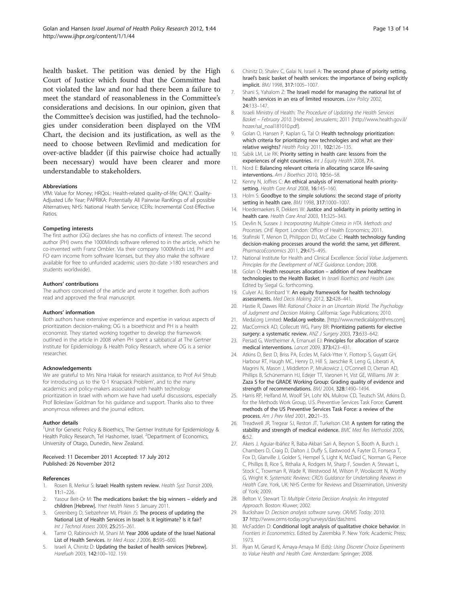<span id="page-12-0"></span>health basket. The petition was denied by the High Court of Justice which found that the Committee had not violated the law and nor had there been a failure to meet the standard of reasonableness in the Committee's considerations and decisions. In our opinion, given that the Committee's decision was justified, had the technologies under consideration been displayed on the VfM Chart, the decision and its justification, as well as the need to choose between Revlimid and medication for over-active bladder (if this pairwise choice had actually been necessary) would have been clearer and more understandable to stakeholders.

#### Abbreviations

VfM: Value for Money; HRQoL: Health-related quality-of-life; QALY: Quality-Adjusted Life Year; PAPRIKA: Potentially All Pairwise RanKings of all possible Alternatives; NHS: National Health Service; ICERs: Incremental Cost-Effective Ratios.

#### Competing interests

The first author (OG) declares she has no conflicts of interest. The second author (PH) owns the 1000Minds software referred to in the article, which he co-invented with Franz Ombler. Via their company 1000Minds Ltd, PH and FO earn income from software licenses, but they also make the software available for free to unfunded academic users (to-date >180 researchers and students worldwide).

#### Authors' contributions

The authors conceived of the article and wrote it together. Both authors read and approved the final manuscript.

#### Authors' information

Both authors have extensive experience and expertise in various aspects of prioritization decision-making; OG is a bioethicist and PH is a health economist. They started working together to develop the framework outlined in the article in 2008 when PH spent a sabbatical at The Gertner Institute for Epidemiology & Health Policy Research, where OG is a senior researcher.

#### Acknowledgements

We are grateful to Mrs Nina Hakak for research assistance, to Prof Avi Shtub for introducing us to the '0-1 Knapsack Problem', and to the many academics and policy-makers associated with health technology prioritization in Israel with whom we have had useful discussions, especially Prof Boleslaw Goldman for his guidance and support. Thanks also to three anonymous referees and the journal editors.

#### Author details

<sup>1</sup>Unit for Genetic Policy & Bioethics, The Gertner Institute for Epidemiology & Health Policy Research, Tel Hashomer, Israel. <sup>2</sup>Department of Economics, University of Otago, Dunedin, New Zealand.

#### Received: 11 December 2011 Accepted: 17 July 2012 Published: 26 November 2012

#### References

- 1. Rosen B, Merkur S: Israel: Health system review. Health Syst Transit 2009, 11:1–226.
- Yasour Beit-Or M: The medications basket: the big winners elderly and children [Hebrew]. Ynet Health News 5 January 2011.
- Greenberg D, Siebzehner MI, Pliskin JS: The process of updating the National List of Health Services in Israel: Is it legitimate? Is it fair? Int J Technol Assess 2009, 25:255–261.
- Tamir O, Rabinovich M, Shani M: Year 2006 update of the Israel National List of Health Services. Isr Med Assoc J 2006, 8:595-600.
- 5. Israeli A, Chinitz D: Updating the basket of health services [Hebrew]. Harefuah 2003, 142:100–102. 159.
- 6. Chinitz D, Shalev C, Galai N, Israeli A: The second phase of priority setting. Israel's basic basket of health services: the importance of being explicitly implicit. BMJ 1998, 317:1005–1007.
- 7. Shani S, Yahalom Z: The Israeli model for managing the national list of health services in an era of limited resources. Law Policy 2002, 24:133–147.
- 8. Israeli Ministry of Health: The Procedure of Updating the Health Services Basket – February 2010. [Hebrew] Jerusalem:; 2011 [\[http://www.health.gov.il/](http://www.health.gov.il/hozer/sal_noal181010.pdf) [hozer/sal\\_noal181010.pdf](http://www.health.gov.il/hozer/sal_noal181010.pdf)].
- 9. Golan O, Hansen P, Kaplan G, Tal O: Health technology prioritization: which criteria for prioritizing new technologies and what are their relative weights? Health Policy 2011, 102:126–135.
- 10. Sabik LM, Lie RK: Priority setting in health care: lessons from the experiences of eight countries. Int J Equity Health 2008, 7:4.
- 11. Nord E: Balancing relevant criteria in allocating scarce life-saving interventions. Am J Bioethics 2010, 10:56–58.
- 12. Kenny N, Joffres C: An ethical analysis of international health prioritysetting. Health Care Anal 2008, 16:145-160.
- 13. Holm S: Goodbye to the simple solutions: the second stage of priority setting in health care. BMJ 1998, 317:1000–1007.
- 14. Hoedemaekers R, Dekkers W: Justice and solidarity in priority setting in health care. Health Care Anal 2003, 11:325–343.
- 15. Devlin N, Sussex J: Incorporating Multiple Criteria in HTA. Methods and Processes. OHE Report. London: Office of Health Economics; 2011.
- 16. Stafinski T, Menon D, Philippon DJ, McCabe C: Health technology funding decision-making processes around the world: the same, yet different. PharmacoEconomics 2011, 29:475–495.
- 17. National Institute for Health and Clinical Excellence: Social Value Judgements. Principles for the Development of NICE Guidance. London; 2008.
- 18. Golan O: Health resources allocation addition of new healthcare technologies to the Health Basket. In Israeli Bioethics and Health Law. Edited by Siegal G.: forthcoming.
- 19. Culyer AJ, Bombard Y: An equity framework for health technology assessments. Med Decis Making 2012, 32:428–441.
- 20. Hastie R, Dawes RM: Rational Choice in an Uncertain World. The Psychology of Judgment and Decision Making. California: Sage Publications; 2010.
- 21. Medal.org Limited: Medal.org website. [[http://www.medicalalgorithms.com\]](http://www.medicalalgorithms.com).
- 22. MacCormick AD, Collecutt WG, Parry BR: Prioritizing patients for elective surgery: a systematic review. ANZ J Surgery 2003, 73:633-642.
- 23. Persad G, Wertheimer A, Emanuel EJ: Principles for allocation of scarce medical interventions. Lancet 2009, 373:423–431.
- 24. Atkins D, Best D, Briss PA, Eccles M, Falck-Ytter Y, Flottorp S, Guyatt GH, Harbour RT, Haugh MC, Henry D, Hill S, Jaeschke R, Leng G, Liberati A, Magrini N, Mason J, Middleton P, Mrukowicz J, O'Connell D, Oxman AD, Phillips B, Schünemann HJ, Edejer TT, Varonen H, Vist GE, Williams JW Jr: Zaza S for the GRADE Working Group: Grading quality of evidence and strength of recommendations. BMJ 2004, 328:1490-1494.
- 25. Harris RP, Helfand M, Woolf SH, Lohr KN, Mulrow CD, Teutsch SM, Atkins D, for the Methods Work Group, U.S. Preventive Services Task Force: Current methods of the US Preventive Services Task Force: a review of the process. Am J Prev Med 2001, 20:21–35.
- Treadwell JR, Tregear SJ, Reston JT, Turkelson CM: A system for rating the stability and strength of medical evidence. BMC Med Res Methodol 2006, 6:52.
- 27. Akers J, Aguiar-Ibáñez R, Baba-Akbari Sari A, Beynon S, Booth A, Burch J, Chambers D, Craig D, Dalton J, Duffy S, Eastwood A, Fayter D, Fonseca T, Fox D, Glanville J, Golder S, Hempel S, Light K, McDaid C, Norman G, Pierce C, Phillips B, Rice S, Rithalia A, Rodgers M, Sharp F, Sowden A, Stewart L, Stock C, Trowman R, Wade R, Westwood M, Wilson P, Woolacott N, Worthy G, Wright K: Systematic Reviews: CRD's Guidance for Undertaking Reviews in Health Care. York, UK: NHS Centre for Reviews and Dissemination, University of York; 2009.
- 28. Belton V, Stewart TJ: Multiple Criteria Decision Analysis: An Integrated Approach. Boston: Kluwer; 2002.
- 29. Buckshaw D: Decision analysis software survey. OR/MS Today. 2010. 37 [http://www.orms-today.org/surveys/das/das.html.](http://www.orms-today.org/surveys/das/das.html)
- 30. McFadden D: Conditional logit analysis of qualitative choice behavior. In Frontiers in Econometrics. Edited by Zarembka P. New York: Academic Press; 1973.
- 31. Ryan M, Gerard K, Amaya-Amaya M (Eds): Using Discrete Choice Experiments to Value Health and Health Care. Amsterdam: Springer; 2008.